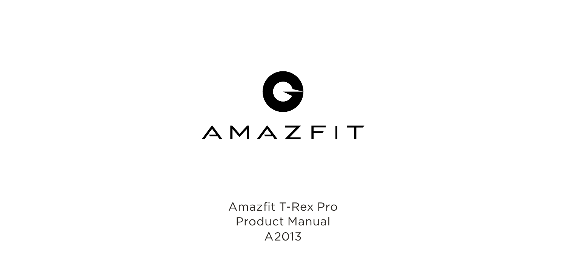

Amazfit T-Rex Pro Product Manual A2013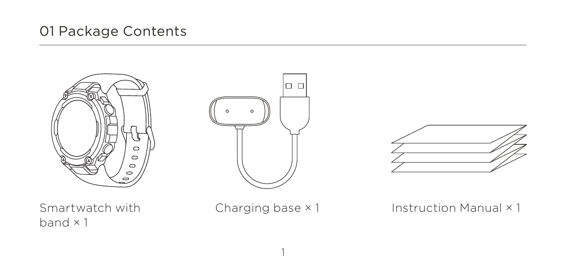# 01 Package Contents







Smartwatch with band × 1

Charging base × 1

1

Instruction Manual × 1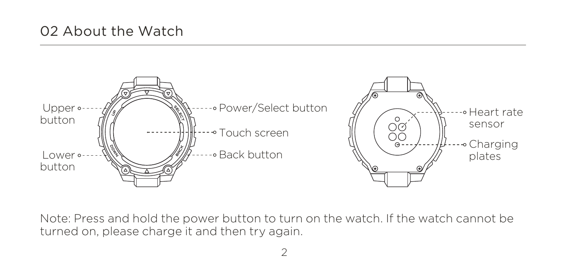#### 02 About the Watch



Note: Press and hold the power button to turn on the watch. If the watch cannot be turned on, please charge it and then try again.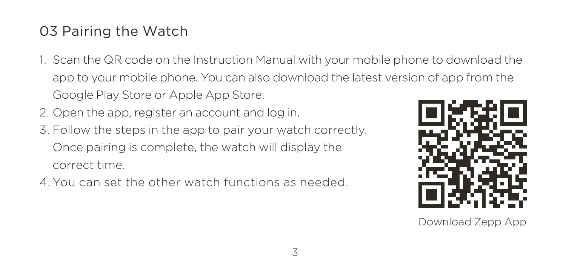- 1. Scan the QR code on the Instruction Manual with your mobile phone to download the app to your mobile phone. You can also download the latest version of app from the Google Play Store or Apple App Store.
- 2. Open the app, register an account and log in.
- 3. Follow the steps in the app to pair your watch correctly. Once pairing is complete, the watch will display the correct time.
- 4. You can set the other watch functions as needed.



Download Zepp App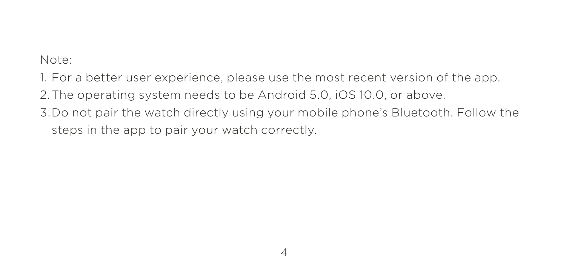Note:

1. For a better user experience, please use the most recent version of the app.

2. The operating system needs to be Android 5.0, iOS 10.0, or above.

3. Do not pair the watch directly using your mobile phone's Bluetooth. Follow the steps in the app to pair your watch correctly.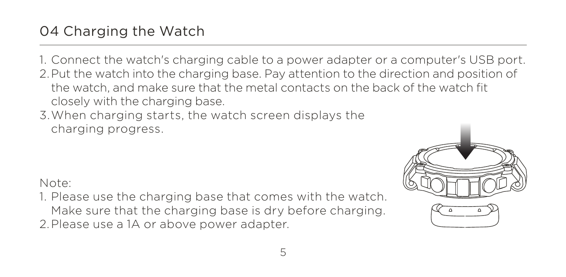## 04 Charging the Watch

1. Connect the watch's charging cable to a power adapter or a computer's USB port. 2. Put the watch into the charging base. Pay attention to the direction and position of the watch, and make sure that the metal contacts on the back of the watch fit closely with the charging base.

3. When charging starts, the watch screen displays the charging progress.

Note:

1. Please use the charging base that comes with the watch. 2. Please use a 1A or above power adapter. Make sure that the charging base is dry before charging.

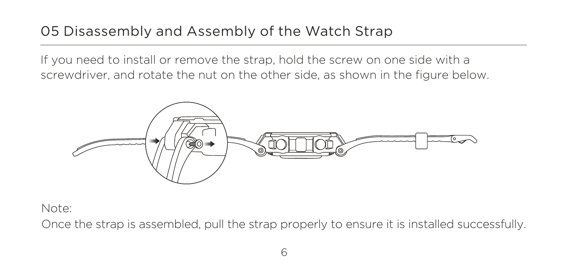## 05 Disassembly and Assembly of the Watch Strap

If you need to install or remove the strap, hold the screw on one side with a screwdriver, and rotate the nut on the other side, as shown in the figure below.



Note:

Once the strap is assembled, pull the strap properly to ensure it is installed successfully.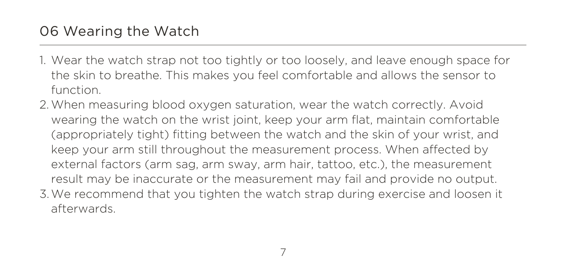- 1. Wear the watch strap not too tightly or too loosely, and leave enough space for the skin to breathe. This makes you feel comfortable and allows the sensor to function.
- 2. When measuring blood oxygen saturation, wear the watch correctly. Avoid 3. We recommend that you tighten the watch strap during exercise and loosen it wearing the watch on the wrist joint, keep your arm flat, maintain comfortable (appropriately tight) fitting between the watch and the skin of your wrist, and keep your arm still throughout the measurement process. When affected by external factors (arm sag, arm sway, arm hair, tattoo, etc.), the measurement result may be inaccurate or the measurement may fail and provide no output. afterwards.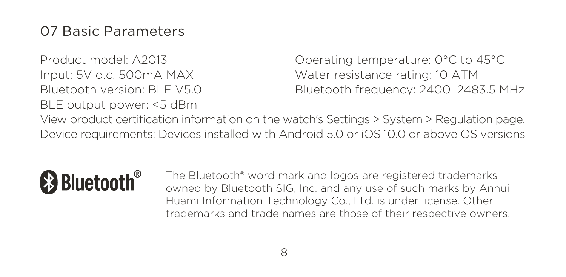Product model: A2013 Input: 5V d.c. 500mA MAX Bluetooth version: BLE V5.0 BLE output power: <5 dBm

Operating temperature: 0°C to 45°C Water resistance rating: 10 ATM Bluetooth frequency: 2400–2483.5 MHz

View product certification information on the watch's Settings > System > Regulation page. Device requirements: Devices installed with Android 5.0 or iOS 10.0 or above OS versions



The Bluetooth® word mark and logos are registered trademarks owned by Bluetooth SIG, Inc. and any use of such marks by Anhui Huami Information Technology Co., Ltd. is under license. Other trademarks and trade names are those of their respective owners.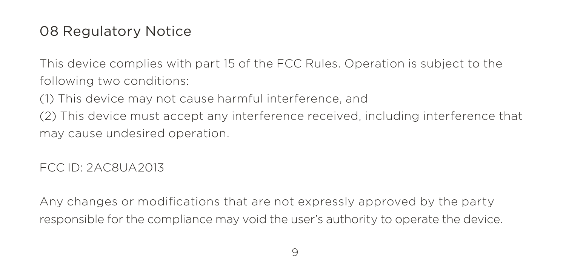This device complies with part 15 of the FCC Rules. Operation is subject to the following two conditions:

(1) This device may not cause harmful interference, and

(2) This device must accept any interference received, including interference that may cause undesired operation.

FCC ID: 2AC8UA2013

Any changes or modifications that are not expressly approved by the party responsible for the compliance may void the user's authority to operate the device.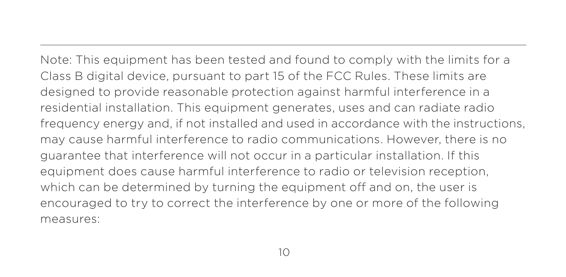Note: This equipment has been tested and found to comply with the limits for a Class B digital device, pursuant to part 15 of the FCC Rules. These limits are designed to provide reasonable protection against harmful interference in a residential installation. This equipment generates, uses and can radiate radio frequency energy and, if not installed and used in accordance with the instructions, may cause harmful interference to radio communications. However, there is no guarantee that interference will not occur in a particular installation. If this equipment does cause harmful interference to radio or television reception, which can be determined by turning the equipment off and on, the user is encouraged to try to correct the interference by one or more of the following measures: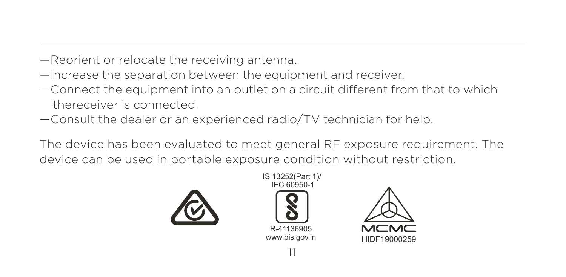- —Reorient or relocate the receiving antenna.
- —Increase the separation between the equipment and receiver.
- $-$  Connect the equipment into an outlet on a circuit different from that to which thereceiver is connected.
- —Consult the dealer or an experienced radio/TV technician for help.

The device has been evaluated to meet general RF exposure requirement. The device can be used in portable exposure condition without restriction.





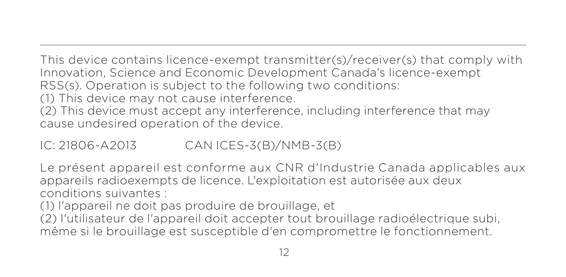This device contains licence-exempt transmitter(s)/receiver(s) that comply with Innovation, Science and Economic Development Canada's licence-exempt RSS(s). Operation is subject to the following two conditions:

(1) This device may not cause interference.

(2) This device must accept any interference, including interference that may cause undesired operation of the device.

IC: 21806-A2013 CAN ICES-3(B)/NMB-3(B)

Le présent appareil est conforme aux CNR d'Industrie Canada applicables aux appareils radioexempts de licence. L'exploitation est autorisée aux deux conditions suivantes :

(1) l'appareil ne doit pas produire de brouillage, et

(2) l'utilisateur de l'appareil doit accepter tout brouillage radioélectrique subi, même si le brouillage est susceptible d'en compromettre le fonctionnement.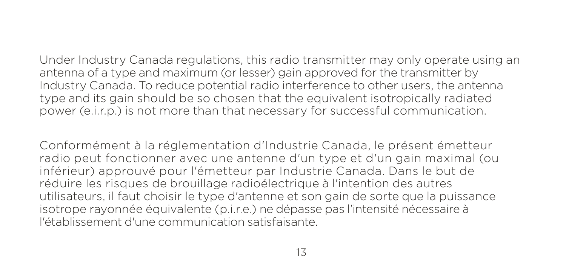Under Industry Canada regulations, this radio transmitter may only operate using an antenna of a type and maximum (or lesser) gain approved for the transmitter by Industry Canada. To reduce potential radio interference to other users, the antenna type and its gain should be so chosen that the equivalent isotropically radiated power (e.i.r.p.) is not more than that necessary for successful communication.

Conformément à la réglementation d'Industrie Canada, le présent émetteur radio peut fonctionner avec une antenne d'un type et d'un gain maximal (ou inférieur) approuvé pour l'émetteur par Industrie Canada. Dans le but de réduire les risques de brouillage radioélectrique à l'intention des autres utilisateurs, il faut choisir le type d'antenne et son gain de sorte que la puissance isotrope rayonnée équivalente (p.i.r.e.) ne dépasse pas l'intensité nécessaire à l'établissement d'une communication satisfaisante.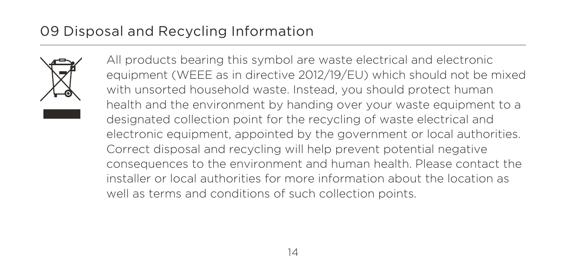## 09 Disposal and Recycling Information



All products bearing this symbol are waste electrical and electronic equipment (WEEE as in directive 2012/19/EU) which should not be mixed with unsorted household waste. Instead, you should protect human health and the environment by handing over your waste equipment to a designated collection point for the recycling of waste electrical and electronic equipment, appointed by the government or local authorities. Correct disposal and recycling will help prevent potential negative consequences to the environment and human health. Please contact the installer or local authorities for more information about the location as well as terms and conditions of such collection points.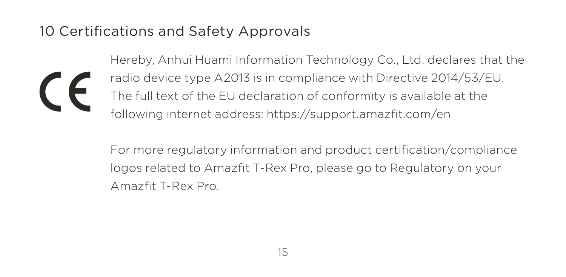## 10 Certifications and Safety Approvals

Hereby, Anhui Huami Information Technology Co., Ltd. declares that the radio device type A2013 is in compliance with Directive 2014/53/EU. The full text of the EU declaration of conformity is available at the following internet address: https://support.amazfit.com/en

For more regulatory information and product certification/compliance logos related to Amazfit T-Rex Pro, please go to Regulatory on your Amazfit T-Rex Pro.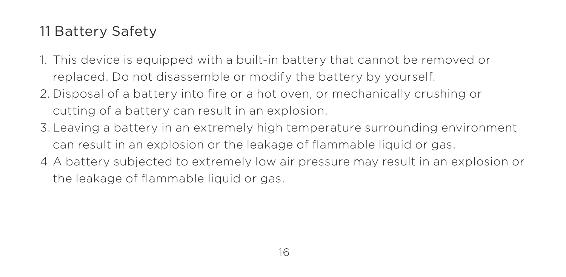# 11 Battery Safety

- 1. This device is equipped with a built-in battery that cannot be removed or replaced. Do not disassemble or modify the battery by yourself.
- 2. Disposal of a battery into fire or a hot oven, or mechanically crushing or cutting of a battery can result in an explosion.
- 3. Leaving a battery in an extremely high temperature surrounding environment can result in an explosion or the leakage of flammable liquid or gas.
- 4 A battery subjected to extremely low air pressure may result in an explosion or the leakage of flammable liquid or gas.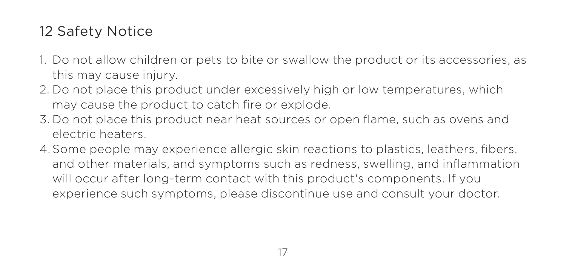# 12 Safety Notice

- 1. Do not allow children or pets to bite or swallow the product or its accessories, as this may cause injury.
- 2. Do not place this product under excessively high or low temperatures, which may cause the product to catch fire or explode.
- 3. Do not place this product near heat sources or open flame, such as ovens and electric heaters.
- 4. Some people may experience allergic skin reactions to plastics, leathers, fibers, and other materials, and symptoms such as redness, swelling, and inflammation will occur after long-term contact with this product's components. If you experience such symptoms, please discontinue use and consult your doctor.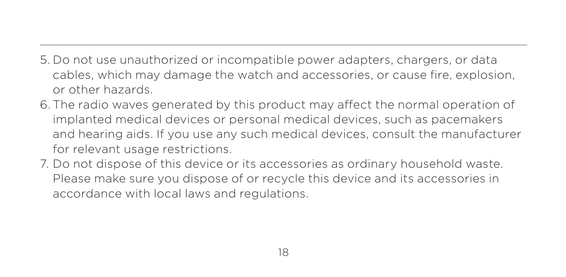- 5. Do not use unauthorized or incompatible power adapters, chargers, or data cables, which may damage the watch and accessories, or cause fire, explosion, or other hazards.
- 6. The radio waves generated by this product may affect the normal operation of implanted medical devices or personal medical devices, such as pacemakers and hearing aids. If you use any such medical devices, consult the manufacturer for relevant usage restrictions.
- 7. Do not dispose of this device or its accessories as ordinary household waste. Please make sure you dispose of or recycle this device and its accessories in accordance with local laws and regulations.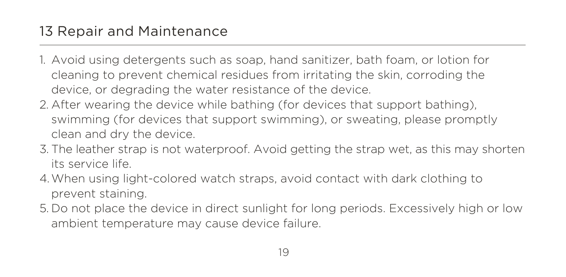- 1. Avoid using detergents such as soap, hand sanitizer, bath foam, or lotion for cleaning to prevent chemical residues from irritating the skin, corroding the device, or degrading the water resistance of the device.
- 2. After wearing the device while bathing (for devices that support bathing), swimming (for devices that support swimming), or sweating, please promptly clean and dry the device.
- 3. The leather strap is not waterproof. Avoid getting the strap wet, as this may shorten its service life.
- 4. When using light-colored watch straps, avoid contact with dark clothing to prevent staining.
- 5. Do not place the device in direct sunlight for long periods. Excessively high or low ambient temperature may cause device failure.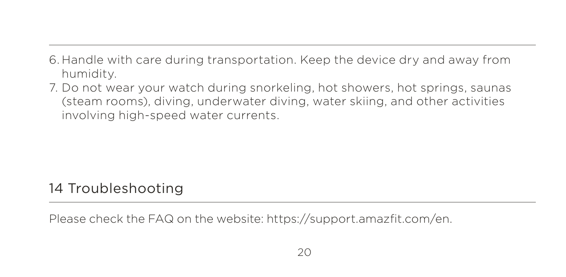- 6. Handle with care during transportation. Keep the device dry and away from humidity.
- 7. Do not wear your watch during snorkeling, hot showers, hot springs, saunas (steam rooms), diving, underwater diving, water skiing, and other activities involving high-speed water currents.

## 14 Troubleshooting

Please check the FAQ on the website: https://support.amazfit.com/en.